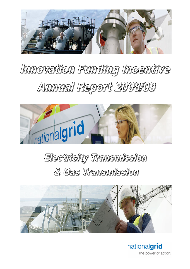

# Innovation Funding Incentive Annual Report 2008/09



# Electricity Transmission & Gas Transmission



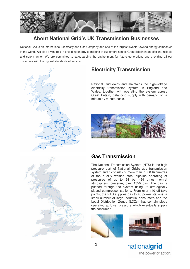

# **About National Grid's UK Transmission Businesses**

National Grid is an international Electricity and Gas Company and one of the largest investor-owned energy companies in the world. We play a vital role in providing energy to millions of customers across Great Britain in an efficient, reliable and safe manner. We are committed to safeguarding the environment for future generations and providing all our customers with the highest standards of service.



National Grid owns and maintains the high-voltage electricity transmission system in England and Wales, together with operating the system across Great Britain, balancing supply with demand on a minute by minute basis.





## **Gas Transmission**

The National Transmission System (NTS) is the high pressure part of National Grid's gas transmission system and it consists of more than 7,300 Kilometres of top quality welded steel pipeline operating at pressures of up to 94 bar (94 times normal atmospheric pressure, over 1350 psi). The gas is pushed through the system using 26 strategically placed compressor stations. From over 140 off-take points, the NTS supplies gas to 40 power stations, a small number of large industrial consumers and the Local Distribution Zones (LDZs) that contain pipes operating at lower pressure which eventually supply the consumer.



nationalgrid The power of action.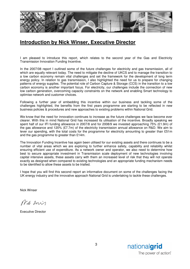

# **Introduction by Nick Winser, Executive Director**

I am pleased to introduce this report, which relates to the second year of the Gas and Electricity Transmission Innovation Funding Incentive.

In the 2007/08 report I outlined some of the future challenges for electricity and gas transmission, all of which are equally relevant today. The need to mitigate the decline of UKCS and to manage the transition to a low carbon economy remain vital challenges and set the framework for the development of long term energy policy. In relation to gas transmission, I also highlighted the need for us to prepare for changing patterns of energy supplies. The potential role of Carbon Capture & Storage (CCS) in the transition to a low carbon economy is another important focus. For electricity, our challenges include the connection of new low carbon generation, overcoming capacity constraints on the network and enabling Smart technology to optimise network and customer choices.

Following a further year of embedding this incentive within our business and tackling some of the challenges highlighted, the benefits from the first years programme are starting to be reflected in new business policies & procedures and new approaches to existing problems within National Grid.

We know that the need for innovation continues to increase as the future challenges we face become ever clearer. With this in mind National Grid has increased its utilisation of the incentive. Broadly speaking we spent half of our IFI funding allowance in 2007/8 and for 2008/9 we invested approaching 75% (£1.9m) of the gas allowance and 120% (£7.7m) of the electricity transmission annual allowance on R&D. We aim to lever our spending, with the total costs for the programme for electricity amounting to greater than £51m and the gas programme to greater than £14m.

The Innovation Funding Incentive has again been utilised for our existing assets and there continues to be a number of vital areas which we are exploring to further enhance safety, capability and reliability whilst ensuring efficient use of expenditure. As a network owner and operator, we also need to determine how best to secure appropriate investment in Transmission scale deployment of new technologies involving capital intensive assets, these assets carry with them an increased level of risk that they will not operate exactly as designed when compared to existing technologies and an appropriate funding mechanism needs to be identified to allow these assets to be trialled.

I hope that you will find this second report an informative document on some of the challenges facing the UK energy industry and the innovative approach National Grid is undertaking to tackle these challenges.

Nick Winser

Pride min

Executive Director

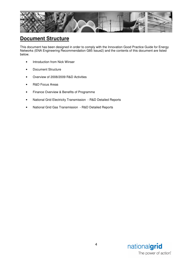

# **Document Structure**

This document has been designed in order to comply with the Innovation Good Practice Guide for Energy Networks (ENA Engineering Recommendation G85 Issue2) and the contents of this document are listed below.

- Introduction from Nick Winser
- Document Structure
- Overview of 2008/2009 R&D Activities
- R&D Focus Areas
- Finance Overview & Benefits of Programme
- National Grid Electricity Transmission R&D Detailed Reports
- National Grid Gas Transmission R&D Detailed Reports

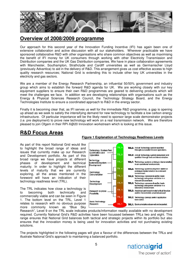

## **Overview of 2008/2009 programme**

Our approach for this second year of the Innovation Funding Incentive (IFI) has again been one of extensive collaboration and active discussion with all our stakeholders. Wherever practicable we have sponsored collaborative R&D with other organisations who share common objectives as well as maximising the benefit of IFI money for UK consumers through working with other Electricity Transmission and Distribution companies and the UK Gas Distribution companies. We have in place collaboration agreements with Manchester, Southampton, Strathclyde and Cardiff universities as well as Germanischer Lloyd (previously Advantica) to aid in the delivery of R&D. This arrangement gives us cost effective access to high quality research resources; National Grid is extending this to include other key UK universities in the electricity and gas sectors.

We are a member of the Energy Research Partnership, an influential 50/50% government and industry group which aims to establish the forward R&D agenda for UK. We are working closely with our key equipment suppliers to ensure their own R&D programmes are geared to delivering products which will meet the challenges we face. In addition we are developing relationships with organisations such as the Energy & Physical Sciences Research Council, the Technology Strategy Board, and the Energy Technologies Institute to ensure a coordinated approach to R&D in the energy sector.

Finally it is becoming clear that, as IFI serves us well for the immediate R&D programme, a gap is opening up ahead as we seek to satisfy the intensifying demand for new technology to facilitate a low carbon energy infrastructure. Of particular importance will be the likely need to sponsor large scale demonstrator projects (i.e. pre deployment) to prove new technology will work on a real transmission network. We are therefore pleased to join Ofgem in their RPI-X@20 Innovation workstream which is looking at this issue.

# **R&D Focus Areas**

As part of this report National Grid would like to highlight the broad range of ideas and issues that currently make up our Research and Development portfolio. As part of this broad range we have projects at different phases of development and technical maturity. In order to highlight the different levels of maturity that we are currently exploring, all the areas mentioned in the foreword will have an indication of their technology readiness level (TRL).

The TRL indicates how close a technology is to becoming both technically and commercially viable and can be seen in Figure 1. The bottom level on the TRL, Level 1 relates to research with no obvious purpose more commonly known as "Blue Sky



#### Research", Level 9 on the TRL scale indicates products/information readily available with no development required. Currently National Grid's R&D activities have been focussed between TRLs two and eight. This range ensures that National Grid balances both tactical and strategic projects within its portfolio but also ensures that the innovation money is being used for innovation activities and not purchasing existing solutions.

The projects highlighted in the following pages will give a flavour of the differences between the TRLs and illustrate National Grid's approach to maintaining a balanced portfolio.



#### **Figure 1 Explanation of Technology Readiness Levels**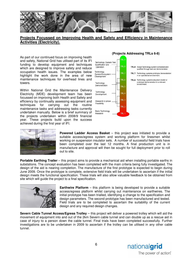

#### **Projects Focussed on Improving Health and Safety and Efficiency in Maintenance Activities (Electricity).**

As part of our continued focus on improving health and safety, National Grid has utilised part of its IFI funding to develop equipment and techniques which are designed to improve safety and reduce occupation health issues. The examples below highlight the work done in the area of new maintenance techniques for overhead lines and towers.

Within National Grid the Maintenance Delivery Electricity (MDE) development team has been focussed on improving both Health and Safety and efficiency by continually assessing equipment and techniques for carrying out the routine maintenance tasks and addressing tasks currently undertaken manually. Below is a brief summary of the projects undertaken within 2008/9 financial year. These projects build upon the success achieved during the first year of IFI.



#### **(Projects Addressing TRLs 6-8)**



**Powered Ladder Access Basket** – this project was initiated to provide a suitable access/egress system and working platform for linesmen whilst working on suspension insulator sets. A number of successful field trials have been completed over the last 12 months. A final production unit is in manufacture and approval will then be sought for full deployment prior to roll out to site.

**Portable Earthing Trailer** – this project aims to provide a mechanical aid when installing portable earths in substations. The concept evaluation has been completed with the main criteria being fully investigated. The design of the aid is nearing completion. The manufacture of the first prototype is expected to begin during June 2009. Once the prototype is complete, extensive field trials will be undertaken to ascertain if the initial design meets the functional specification. These trials will also allow valuable feedback to be obtained from site which will guide the project to a final specification.



**Earthwire Platform** – this platform is being developed to provide a suitable access/egress platform whilst carrying out maintenance on earthwires. The initial prototype has been trialled, identifying a change to the specification and design parameters. The second prototype has been manufactured and tested. Field trials are to be completed to ascertain the suitability of the current design and any required design changes.

**Severn Cable Tunnel Access/Egress Trolley** – this project will deliver a powered trolley which will aid the movement of equipment into and out of the 2km Severn cable tunnel and can double up as a rescue aid in case of injury to a person down the cable tunnel. Final trials have been completed successfully. Further investigations are to be undertaken in 2009 to ascertain if the trolley can be utilised in any other cable tunnel.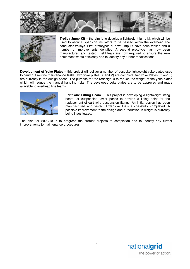



**Trolley Jump Kit** – the aim is to develop a lightweight jump kit which will be used to allow suspension insulators to be passed within the overhead line conductor trolleys. First prototypes of new jump kit have been trialled and a number of improvements identified. A second prototype has now been manufactured and tested. Field trials are now required to ensure the new equipment works efficiently and to identify any further modifications.

**Development of Yoke Plates** – this project will deliver a number of bespoke lightweight yoke plates used to carry out routine maintenance tasks. Two yoke plates (A and V) are complete, two yoke Plates (O and L) are currently in the design phase. The purpose for the redesign is to reduce the weight of the yoke plates which will reduce the manual handling risks. The developed yoke plates are to be approved and made available to overhead line teams.



**Earthwire Lifting Beam** – This project is developing a lightweight lifting beam for suspension tower peaks to provide a lifting point for the replacement of earthwire suspension fittings. An initial design has been manufactured and tested. Extensive trials successfully completed. A possible improvement to the design and a reduction in weight is currently being investigated.

The plan for 2009/10 is to progress the current projects to completion and to identify any further improvements to maintenance procedures.

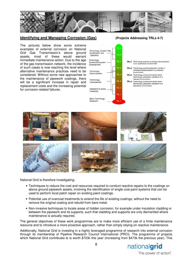

#### **Identifying and Managing Corrosion (Gas) (Projects Addressing TRLs 4-7)**

The pictures below show some extreme examples of external corrosion on National Grid Gas Transmission's above ground assets, most of these would warrant immediate maintenance action. Due to the age of the gas transmission network, the incidence of such cases is now reaching the level where alternative maintenance practices need to be considered. Without some new approaches to the maintenance of pipework coatings, there will be a significant increase in repair and replacement costs and the increasing potential for corrosion-related failures.



- TRL7: Technology systems prototype demonstration<br>in an operational environment.
- TRL6: Technology system/subsystem model or<br>prototype demionstration in a relevant
- TRL5: Technology component and/or basic rechnology subsystem validation in a<br>technology subsystem validation in a<br>relevant environment.
- TRL4: Technology component and/or basic technology subsystem validation in a laboratory environment.



National Grid is therefore investigating:

- Techniques to reduce the cost and resources required to conduct reactive repairs to the coatings on above ground pipework assets, involving the identification of single coat paint systems that can be used to perform local patch repair on existing paint coatings.
- Potential use of overcoat treatments to extend the life of existing coatings, without the need to remove the original coating and rebuild from bare metal.
- Non-invasive techniques to locate areas of hidden corrosion, for example under insulation cladding or between the pipework and its supports, such that cladding and supports are only dismantled where maintenance is actually required.

The general objectives of these work programmes are to make more efficient use of a finite maintenance resource and to introduce a more proactive approach, rather than simply relying on reactive maintenance.

Additionally, National Grid is investing in a highly leveraged programme of research into external corrosion through its membership of Pipeline Research Council International (PRCI). The programme of projects which National Grid contributes to is worth \$723k this year (increasing from \$473k the previous year). This

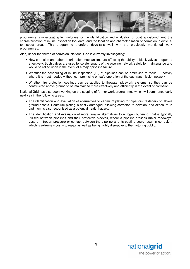

programme is investigating technologies for the identification and evaluation of coating disbondment, the characterisation of in-line inspection tool data, and the location and characterisation of corrosion in difficultto-inspect areas. This programme therefore dove-tails well with the previously mentioned work programmes.

Also, under the theme of corrosion, National Grid is currently investigating:

- How corrosion and other deterioration mechanisms are affecting the ability of block valves to operate effectively. Such valves are used to isolate lengths of the pipeline network safely for maintenance and would be relied upon in the event of a major pipeline failure.
- Whether the scheduling of in-line inspection (ILI) of pipelines can be optimised to focus ILI activity where it is most needed without compromising on safe operation of the gas transmission network.
- Whether fire protection coatings can be applied to firewater pipework systems, so they can be constructed above ground to be maintained more effectively and efficiently in the event of corrosion.

National Grid has also been working on the scoping of further work programmes which will commence early next yea in the following areas:

- The identification and evaluation of alternatives to cadmium plating for pipe joint fasteners on above ground assets. Cadmium plating is easily damaged, allowing corrosion to develop, and exposure to cadmium is also recognised as a potential health hazard.
- The identification and evaluation of more reliable alternatives to nitrogen buffering, that is typically utilised between pipelines and their protective sleeves, where a pipeline crosses major roadways. Loss of nitrogen pressure or contact between the pipeline and its coating could result in corrosion, which is extremely costly to repair as well as being highly disruptive to the motoring public.

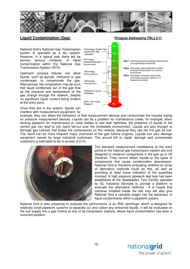

### **Liquid Contamination (Gas)** (**Projects Addressing TRLs 5-7)**

National Grid's National Gas Transmission system is operated as a dry system. However, in a typical year there will be several serious incidents of liquid contamination within the National Gas Transmission System (NTS).

Upstream process failures can allow liquids, such as glycols, methanol or gas condensate, to contaminate the gas. Alternatively, the composition may be such that liquid condenses out of the gas flow as the pressure and temperature of the gas change through the network, despite no significant liquid content being evident at the entry point.

Once they are in the system, liquids can interfere with measurement equipment, for



example, they can affect the behaviour of flow measurement devices and contaminate the impulse tubing on pressure measurement devices. Liquids can be a problem for maintenance crews, for example, when venting pipework for maintenance or valve bodies to test leak tightness, the presence of liquids in the vented gas can lead to oily liquid fall-out over the immediate environment. Liquids are also thought to damage gas turbines that power the compressors on the network, because they use the line gas as fuel. The result can be more frequent major overhauls of the gas turbine engines. Liquids can also damage equipment owned by large industrial customers. The annual bill to repair damage and compensate customers is estimated to be in excess of £1m.



The standard measurement installations at the entry points to the national gas transmission system are only designed to measure components in the gas up to C6 (hexane). They cannot detect liquids or the types of components that cause condensation downstream. National Grid is therefore evaluating whether an array of alternative methods could do this, as well as providing at least some indication of the quantities involved. A high pressure pipework test loop has been established at the Spadeadam Test Facility operated by GL Industrial Services to provide a platform to evaluate the alternative methods. It is hoped that cameras installed inside the test loop will also give National Grid a valuable insight into the behaviour of liquid contaminants within a pipework system.

National Grid is also preparing to evaluate the performance of an IRIS centrifuge, which is designed for relatively small pipework systems to separate out and collect any entrained liquids. It will be evaluated on the fuel supply into a gas turbine at one of its compressor stations, where liquid contamination has been a recurrent problem.

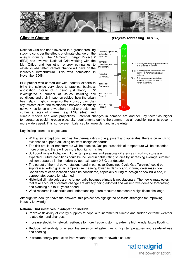

#### **Climate Change (Projects Addressing TRLs 5-7)**

National Grid has been involved in a groundbreaking study to consider the effects of climate change on the energy industry. The 14-month Energy Project 2 (EP2) has involved National Grid working with the Met Office and ten other energy companies to establish what effect climate change will have on the industry's infrastructure. This was completed in November 2008.

EP2 project was carried out with industry experts to bring the science very close to practical business application instead of it being just theory. EP2 investigated a number of issues including soil conditions and their impact on cables; how the urban heat island might change so the industry can plan city infrastructure; the relationship between electricity network resilience and weather; a tool to predict sea surges at sites of interest (e.g. LNG sites); and



climate models and wind projections. Potential changes in demand are another key factor as higher temperatures could increase electricity requirements during the summer, as air conditioning units become more widely used. This is, however, balanced by lower demand in the winter.

Key findings from the project are:

- With a few exceptions, such as the thermal ratings of equipment and apparatus, there is currently no evidence to support adjusting network design standards.
- The risk profile for transformers will be affected. Design thresholds of temperature will be exceeded more often and there will be more hot nights in cities.
- Soil conditions will change. Higher temperatures and seasonal differences in soil moisture are expected. Future conditions could be included in cable rating studies by increasing average summer soil temperatures in the models by approximately 0.5°C per decade.
- The output of thermal power stations (and in particular Combined Cycle Gas Turbines) could be suppressed with higher air temperature meaning lower air density and, in turn, lower mass flow. Conditions at each location should be considered, especially during re-design or new build and, if appropriate, adaptation planned.
- Historical climatologies are no longer valid because climate is not stationary. The new climatologies that take account of climate change are already being adopted and will improve demand forecasting and planning out to 10 years ahead.
- Wind resource is uncertain and understanding future resource represents a significant challenge.

Although we don't yet have the answers, this project has highlighted possible strategies for improving industry knowledge.

#### **National Grid initiatives in adaptation include:**

- **Improve** flexibility of energy supplies to cope with incremental climate and sudden extreme weather related demand changes.
- **Increase** electricity network resilience to more frequent storms, extreme high winds, future flooding.
- **Reduce** vulnerability of energy transmission infrastructure to high temperatures and sea-level rise and flooding.
- **Increase** energy production from weather-dependent renewable sources

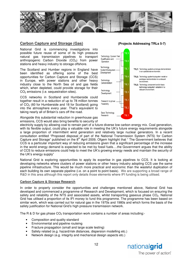

### **Carbon Capture and Storage (Gas) (Projects Addressing TRLs 5-7)**

National Grid is commencing investigations into possible future reuse of some of its high pressure natural gas transmission pipelines to transport anthropogenic Carbon Dioxide  $(CO<sub>2</sub>)$  from power stations and heavy industry to storage offshore.

The Scotland and Humber regions in England have been identified as offering some of the best opportunities for Carbon Capture and Storage (CCS) in Europe, with power stations and other heavy industry close to the North Sea oil and gas fields which, when depleted, could provide storage for their CO<sub>2</sub> emissions (i.e. sequestration sites).

CCS networks in Scotland and Humberside could together result in a reduction of up to 78 million tonnes of  $CO<sub>2</sub>$  (60 for Humberside and 18 for Scotland) going into the atmosphere every year. That's equivalent to taking nearly all of Britain's cars off the road.

Alongside this substantial reduction in greenhouse gas emissions, CCS would also bring benefits to security of



TRL6: Technology system/subsystem model or

TRL5: Technology component and/or basic technology subsystem validation in a

electricity supply by allowing coal to remain part of a future diverse low carbon energy mix. Coal generation, with its flexible output, could play a valuable role in meeting the UK's future energy requirements alongside a large proportion of intermittent wind generation and relatively large nuclear generators. In a recent consultation entitled "Proposed disposal of part of the National Transmission System (NTS) for Carbon Capture and Storage" published on the 8<sup>th</sup> April 2009, Ofgem highlight that " The Government believes that CCS is a particular important way of reducing emissions given that a significant percentage of the increase in the world energy demand is expected to be met by fossil fuels….the Government argues that the ability of CCS to reduce emissions could help to meet the UK's growing energy needs and maintain the security of the UK's energy supply"

National Grid is exploring opportunities to apply its expertise in gas pipelines to CCS. It is looking at developing networks where clusters of power stations or other heavy industry adopting CCS use the same pipeline infrastructure. This would be much more practical and economic than the wasteful duplication of each building its own separate pipeline (i.e. on a point to point basis). We are supporting a broad range of R&D in this area although this report only details those elements where IFI funding is being utilised.

#### **Carbon Capture & Storage Research**

In order to properly consider the opportunities and challenges mentioned above, National Grid has developed and commenced a programme of Research and Development, which is focused on ensuring the safety and reliability of the NTS and associated assets, whilst transporting gaseous phase CO<sub>2</sub>. National Grid has utilised a proportion of its IFI money to fund this programme. The programme has been based on similar work, which was carried out for natural gas in the 1970s and 1980s and which forms the basis of the safety justification for National Grid's high pressure transmission network.

The R & D for gas phase  $CO<sub>2</sub>$  transportation work contains a number of areas including:-

- Composition and quality standard
- Environmental and pipeline routeing
- Fracture propagation (small and large scale testing)
- Safety related (e.g. hazard/risk distances, dispersion modelling etc.)
- Network design (e.g. integrity and mechanical design aspects etc.)

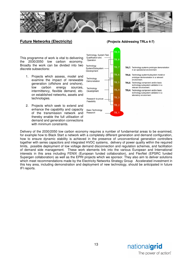

### **Future Networks (Electricity) (Projects Addressing TRLs 4-7)**

This programme of work is vital to delivering the 2030/2050 low carbon economy. Broadly the work can be divided into two discrete subsections:

- 1. Projects which assess, model and examine the impact of renewable generation (offshore and onshore), low carbon energy sources, intermittency, flexible demand, etc. on established networks, assets and technologies.
- 2. Projects which seek to extend and enhance the capability and capacity of the transmission network and thereby enable the full utilisation of demand and generation connections with minimum constraints.



- TRL7: Technology systems prototype demonstration in an operational environment TRL6: Technology system/subsystem model or
- prototype demionstration in a relevant environment.
- TRL5: Technology component and/or basic technology subsystem validation in a relevant environment.
- TRL4: Technology component and/or basic technology subsystem validation in a laboratory environment.

Delivery of the 2030/2050 low carbon economy requires a number of fundamental areas to be examined, for example how to Black Start a network with a completely different generation and demand configuration, how to ensure dynamic stability is achieved in the presence of unconventional generation controllers together with series capacitors and integrated HVDC systems, delivery of power quality within the required limits, possible deployment of low voltage demand disconnection and regulation schemes, and facilitation of demand side management. These work elements link into the various European and International interests in this area including FENIX (European funded collaboration), and FlexNet (EPSRC funded Supergen collaboration) as well as the EPRI projects which we sponsor. They also aim to deliver solutions which meet recommendations made by the Electricity Networks Strategy Group Accelerated investment in this key area, including demonstration and deployment of new technology, should be anticipated in future IFI reports.

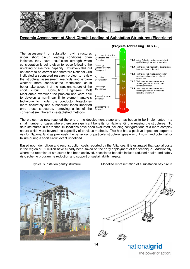

**Dynamic Assessment of Short Circuit Loading of Substation Structures (Electricity)** 

The assessment of substation civil structures under short circuit loading conditions often indicates they have insufficient strength when consideration is being given to reuse following the up-rating of electrical capacity. Intuitively this did not seem to be correct and therefore National Grid instigated a sponsored research project to review the structural assessment methods and explore whether more sophisticated techniques could better take account of the transient nature of the short circuit. Consulting Engineers Mott MacDonald examined the problem and were able to develop a non-linear finite element analysis technique to model the conductor trajectories more accurately and subsequent loads imparted onto these structures, removing a lot of the conservatism inherent in established methods.



The project has now reached the end of the development stage and has begun to be implemented in a small number of cases where there are significant benefits for National Grid in reusing the structures. To date structures in more than 10 locations have been evaluated including configurations of a more complex nature which were beyond the capability of previous methods. This has had a positive impact on corporate risk for National Grid as previously the behaviour of particular structure types was unknown and potential for failure during a short circuit event undefined.

Based upon demolition and reconstruction costs reported by the Alliances, it is estimated that capital costs in the region of £1 million have already been saved on the early deployment of the technique. Additionally, where the retention of structures has been achieved, associated benefits include reduced health and safety risk, scheme programme reduction and support of sustainability targets.

Typical substation gantry structure Modelled representation of a substation bay circuit





nationalgrid

The power of action.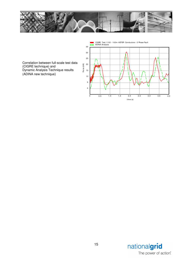



Correlation between full-scale test data (CIGRE technique) and Dynamic Analysis Technique results (ADINA new technique)

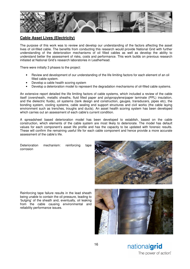

## **Cable Asset Lives (Electricity)**

The purpose of this work was to review and develop our understanding of the factors affecting the asset lives of oil-filled cable. The benefits from conducting this research would provide National Grid with further understanding of the deterioration mechanisms of oil filled cables as well as develop the ability to understand better the assessment of risks, costs and performance. This work builds on previous research initiated at National Grid's research laboratories in Leatherhead.

There were initially 3 phases to the project:

- Review and development of our understanding of the life limiting factors for each element of an oil filled cable system.
- Develop a cable health scoring system
- Develop a deterioration model to represent the degradation mechanisms of oil-filled cable systems.

An extensive report detailed the life limiting factors of cable systems, which included a review of the cable itself (oversheath, metallic sheaths, fluid filled paper and polypropylene/paper laminate (PPL) insulation, and the dielectric fluids), oil systems (tank design and construction, gauges, transducers, pipes etc), the bonding system, cooling systems, cable sealing end support structures and civil works (the cable laying environment such as trenches, troughs and ducts). An asset health scoring system has been developed which carries out an assessment of each cable's current condition.

A spreadsheet based deterioration model has been developed to establish, based on the cable construction, which elements of the cable system are most likely to deteriorate. The model has default values for each component's asset life profile and has the capacity to be updated with forensic results. These will confirm the remaining useful life for each cable component and hence provide a more accurate assessment of the cable's life.

Deterioration mechanism: reinforcing tape corrosion



Reinforcing tape failure results in the lead sheath being unable to contain the oil pressure, leading to 'bulging' of the sheath and, eventually, oil leaking from the cable causing environmental and reliability performance issues.

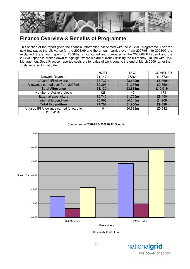

# **Finance Overview & Benefits of Programme**

This section of the report gives the financial information associated with the 2008/09 programme. Over the next few pages the allowance for the 2008/09 and the amount carried over from 2007/08 into 2008/09 are explained, the amount spent for 2008/09 is highlighted and compared to the 2007/08 IFI spend and the 2008/09 spend is broken down to highlight where we are currently utilising the IFI money. In line with R&D Management Good Practice, reported costs are for value of work done to the end of March 2009 rather than costs invoiced to that date.

|                                                      | <b>NGET</b> | <b>NGG</b> | <b>COMBINED</b> |
|------------------------------------------------------|-------------|------------|-----------------|
| Network Revenue                                      | £1,147 $m$  | £526m      | £1,673m         |
| 2008/09 IFI Allowance                                | £5.737m     | £2.632m    | £8.369m         |
| Allowance carried over from 2007/08                  | £2.393m     | £1.256m    | £3.650m         |
| <b>Total Allowance</b>                               | £8.130m     | £3.888m    | £12.019m        |
| Number of Active projects                            | 128         | 45         | 173             |
| External expenditure                                 | £6.745m     | £1.705m    | £8.450m         |
| Internal Expenditure                                 | £0.963m     | £0.245m    | £1.208m         |
| <b>Total Expenditure</b>                             | £7.708m     | £1.950m    | £9.658m         |
| Unused IFI Allowance carried forward to<br>2009/2010 | 0           | £0.682m    | £0.682m         |





**Electricity EGas ETotal**